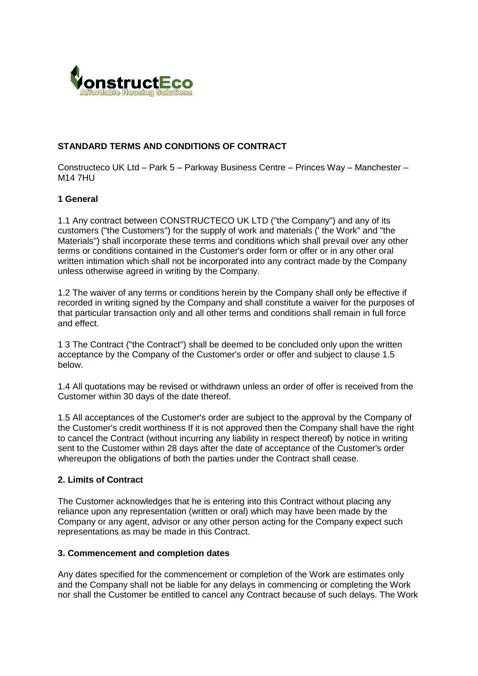

# **STANDARD TERMS AND CONDITIONS OF CONTRACT**

Constructeco UK Ltd – Park 5 – Parkway Business Centre – Princes Way – Manchester – M14 7HU

### **1 General**

1.1 Any contract between CONSTRUCTECO UK LTD ("the Company") and any of its customers ("the Customers") for the supply of work and materials (' the Work" and "the Materials") shall incorporate these terms and conditions which shall prevail over any other terms or conditions contained in the Customer's order form or offer or in any other oral written intimation which shall not be incorporated into any contract made by the Company unless otherwise agreed in writing by the Company.

1.2 The waiver of any terms or conditions herein by the Company shall only be effective if recorded in writing signed by the Company and shall constitute a waiver for the purposes of that particular transaction only and all other terms and conditions shall remain in full force and effect.

1 3 The Contract ("the Contract") shall be deemed to be concluded only upon the written acceptance by the Company of the Customer's order or offer and subject to clause 1.5 below.

1.4 All quotations may be revised or withdrawn unless an order of offer is received from the Customer within 30 days of the date thereof.

1.5 All acceptances of the Customer's order are subject to the approval by the Company of the Customer's credit worthiness If it is not approved then the Company shall have the right to cancel the Contract (without incurring any liability in respect thereof) by notice in writing sent to the Customer within 28 days after the date of acceptance of the Customer's order whereupon the obligations of both the parties under the Contract shall cease.

#### **2. Limits of Contract**

The Customer acknowledges that he is entering into this Contract without placing any reliance upon any representation (written or oral) which may have been made by the Company or any agent, advisor or any other person acting for the Company expect such representations as may be made in this Contract.

#### **3. Commencement and completion dates**

Any dates specified for the commencement or completion of the Work are estimates only and the Company shall not be liable for any delays in commencing or completing the Work nor shall the Customer be entitled to cancel any Contract because of such delays. The Work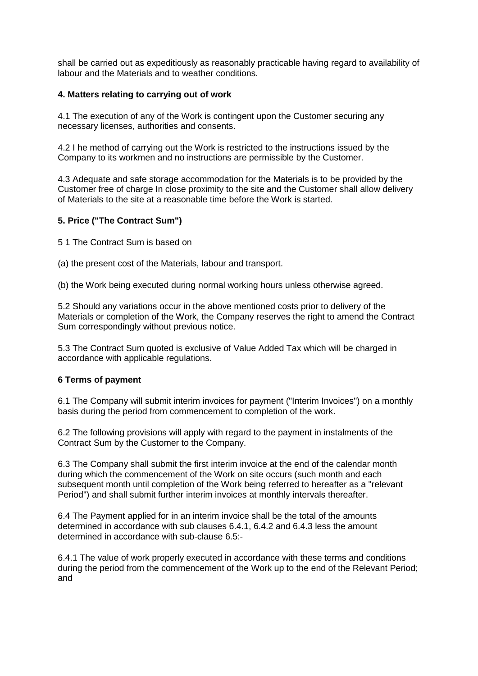shall be carried out as expeditiously as reasonably practicable having regard to availability of labour and the Materials and to weather conditions.

## **4. Matters relating to carrying out of work**

4.1 The execution of any of the Work is contingent upon the Customer securing any necessary licenses, authorities and consents.

4.2 I he method of carrying out the Work is restricted to the instructions issued by the Company to its workmen and no instructions are permissible by the Customer.

4.3 Adequate and safe storage accommodation for the Materials is to be provided by the Customer free of charge In close proximity to the site and the Customer shall allow delivery of Materials to the site at a reasonable time before the Work is started.

### **5. Price ("The Contract Sum")**

5 1 The Contract Sum is based on

(a) the present cost of the Materials, labour and transport.

(b) the Work being executed during normal working hours unless otherwise agreed.

5.2 Should any variations occur in the above mentioned costs prior to delivery of the Materials or completion of the Work, the Company reserves the right to amend the Contract Sum correspondingly without previous notice.

5.3 The Contract Sum quoted is exclusive of Value Added Tax which will be charged in accordance with applicable regulations.

## **6 Terms of payment**

6.1 The Company will submit interim invoices for payment ("Interim Invoices") on a monthly basis during the period from commencement to completion of the work.

6.2 The following provisions will apply with regard to the payment in instalments of the Contract Sum by the Customer to the Company.

6.3 The Company shall submit the first interim invoice at the end of the calendar month during which the commencement of the Work on site occurs (such month and each subsequent month until completion of the Work being referred to hereafter as a "relevant Period") and shall submit further interim invoices at monthly intervals thereafter.

6.4 The Payment applied for in an interim invoice shall be the total of the amounts determined in accordance with sub clauses 6.4.1, 6.4.2 and 6.4.3 less the amount determined in accordance with sub-clause 6.5:-

6.4.1 The value of work properly executed in accordance with these terms and conditions during the period from the commencement of the Work up to the end of the Relevant Period; and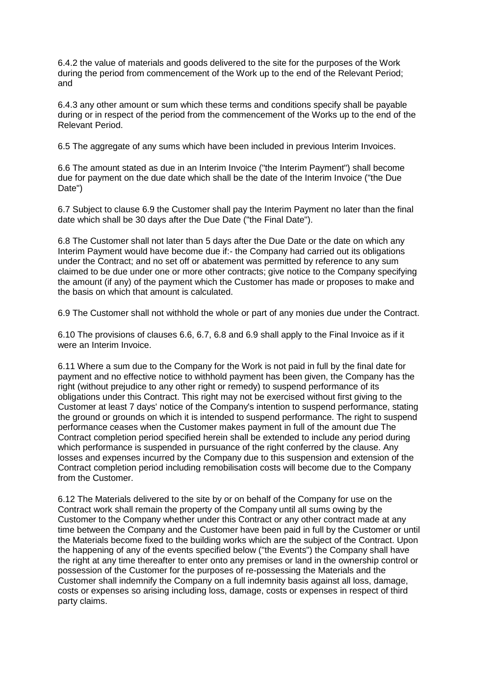6.4.2 the value of materials and goods delivered to the site for the purposes of the Work during the period from commencement of the Work up to the end of the Relevant Period; and

6.4.3 any other amount or sum which these terms and conditions specify shall be payable during or in respect of the period from the commencement of the Works up to the end of the Relevant Period.

6.5 The aggregate of any sums which have been included in previous Interim Invoices.

6.6 The amount stated as due in an Interim Invoice ("the Interim Payment") shall become due for payment on the due date which shall be the date of the Interim Invoice ("the Due Date")

6.7 Subject to clause 6.9 the Customer shall pay the Interim Payment no later than the final date which shall be 30 days after the Due Date ("the Final Date").

6.8 The Customer shall not later than 5 days after the Due Date or the date on which any Interim Payment would have become due if:- the Company had carried out its obligations under the Contract; and no set off or abatement was permitted by reference to any sum claimed to be due under one or more other contracts; give notice to the Company specifying the amount (if any) of the payment which the Customer has made or proposes to make and the basis on which that amount is calculated.

6.9 The Customer shall not withhold the whole or part of any monies due under the Contract.

6.10 The provisions of clauses 6.6, 6.7, 6.8 and 6.9 shall apply to the Final Invoice as if it were an Interim Invoice.

6.11 Where a sum due to the Company for the Work is not paid in full by the final date for payment and no effective notice to withhold payment has been given, the Company has the right (without prejudice to any other right or remedy) to suspend performance of its obligations under this Contract. This right may not be exercised without first giving to the Customer at least 7 days' notice of the Company's intention to suspend performance, stating the ground or grounds on which it is intended to suspend performance. The right to suspend performance ceases when the Customer makes payment in full of the amount due The Contract completion period specified herein shall be extended to include any period during which performance is suspended in pursuance of the right conferred by the clause. Any losses and expenses incurred by the Company due to this suspension and extension of the Contract completion period including remobilisation costs will become due to the Company from the Customer.

6.12 The Materials delivered to the site by or on behalf of the Company for use on the Contract work shall remain the property of the Company until all sums owing by the Customer to the Company whether under this Contract or any other contract made at any time between the Company and the Customer have been paid in full by the Customer or until the Materials become fixed to the building works which are the subject of the Contract. Upon the happening of any of the events specified below ("the Events") the Company shall have the right at any time thereafter to enter onto any premises or land in the ownership control or possession of the Customer for the purposes of re-possessing the Materials and the Customer shall indemnify the Company on a full indemnity basis against all loss, damage, costs or expenses so arising including loss, damage, costs or expenses in respect of third party claims.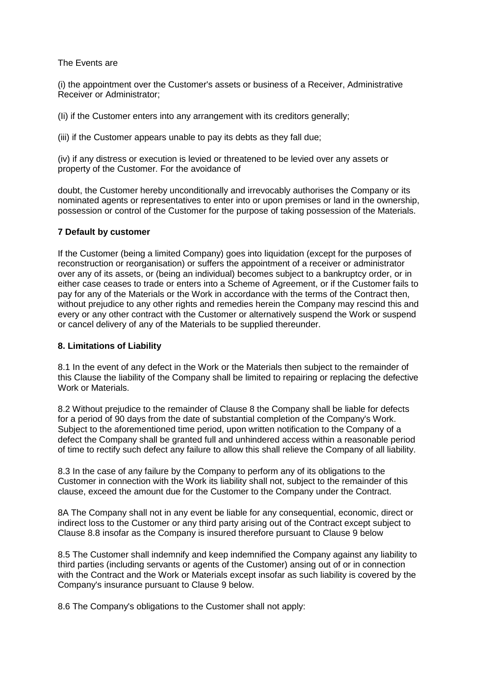### The Events are

(i) the appointment over the Customer's assets or business of a Receiver, Administrative Receiver or Administrator;

(Ii) if the Customer enters into any arrangement with its creditors generally;

(iii) if the Customer appears unable to pay its debts as they fall due;

(iv) if any distress or execution is levied or threatened to be levied over any assets or property of the Customer. For the avoidance of

doubt, the Customer hereby unconditionally and irrevocably authorises the Company or its nominated agents or representatives to enter into or upon premises or land in the ownership, possession or control of the Customer for the purpose of taking possession of the Materials.

### **7 Default by customer**

If the Customer (being a limited Company) goes into liquidation (except for the purposes of reconstruction or reorganisation) or suffers the appointment of a receiver or administrator over any of its assets, or (being an individual) becomes subject to a bankruptcy order, or in either case ceases to trade or enters into a Scheme of Agreement, or if the Customer fails to pay for any of the Materials or the Work in accordance with the terms of the Contract then, without prejudice to any other rights and remedies herein the Company may rescind this and every or any other contract with the Customer or alternatively suspend the Work or suspend or cancel delivery of any of the Materials to be supplied thereunder.

## **8. Limitations of Liability**

8.1 In the event of any defect in the Work or the Materials then subject to the remainder of this Clause the liability of the Company shall be limited to repairing or replacing the defective Work or Materials.

8.2 Without prejudice to the remainder of Clause 8 the Company shall be liable for defects for a period of 90 days from the date of substantial completion of the Company's Work. Subject to the aforementioned time period, upon written notification to the Company of a defect the Company shall be granted full and unhindered access within a reasonable period of time to rectify such defect any failure to allow this shall relieve the Company of all liability.

8.3 In the case of any failure by the Company to perform any of its obligations to the Customer in connection with the Work its liability shall not, subject to the remainder of this clause, exceed the amount due for the Customer to the Company under the Contract.

8A The Company shall not in any event be liable for any consequential, economic, direct or indirect loss to the Customer or any third party arising out of the Contract except subject to Clause 8.8 insofar as the Company is insured therefore pursuant to Clause 9 below

8.5 The Customer shall indemnify and keep indemnified the Company against any liability to third parties (including servants or agents of the Customer) ansing out of or in connection with the Contract and the Work or Materials except insofar as such liability is covered by the Company's insurance pursuant to Clause 9 below.

8.6 The Company's obligations to the Customer shall not apply: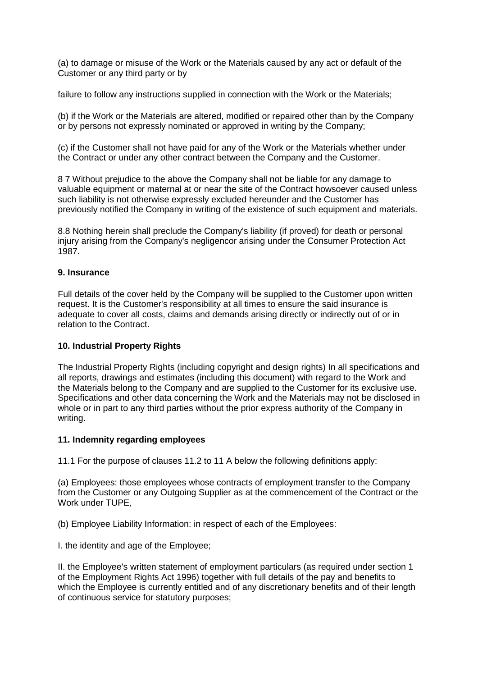(a) to damage or misuse of the Work or the Materials caused by any act or default of the Customer or any third party or by

failure to follow any instructions supplied in connection with the Work or the Materials;

(b) if the Work or the Materials are altered, modified or repaired other than by the Company or by persons not expressly nominated or approved in writing by the Company;

(c) if the Customer shall not have paid for any of the Work or the Materials whether under the Contract or under any other contract between the Company and the Customer.

8 7 Without prejudice to the above the Company shall not be liable for any damage to valuable equipment or maternal at or near the site of the Contract howsoever caused unless such liability is not otherwise expressly excluded hereunder and the Customer has previously notified the Company in writing of the existence of such equipment and materials.

8.8 Nothing herein shall preclude the Company's liability (if proved) for death or personal injury arising from the Company's negligencor arising under the Consumer Protection Act 1987.

### **9. Insurance**

Full details of the cover held by the Company will be supplied to the Customer upon written request. It is the Customer's responsibility at all times to ensure the said insurance is adequate to cover all costs, claims and demands arising directly or indirectly out of or in relation to the Contract.

## **10. Industrial Property Rights**

The Industrial Property Rights (including copyright and design rights) In all specifications and all reports, drawings and estimates (including this document) with regard to the Work and the Materials belong to the Company and are supplied to the Customer for its exclusive use. Specifications and other data concerning the Work and the Materials may not be disclosed in whole or in part to any third parties without the prior express authority of the Company in writing.

#### **11. Indemnity regarding employees**

11.1 For the purpose of clauses 11.2 to 11 A below the following definitions apply:

(a) Employees: those employees whose contracts of employment transfer to the Company from the Customer or any Outgoing Supplier as at the commencement of the Contract or the Work under TUPE,

(b) Employee Liability Information: in respect of each of the Employees:

I. the identity and age of the Employee;

II. the Employee's written statement of employment particulars (as required under section 1 of the Employment Rights Act 1996) together with full details of the pay and benefits to which the Employee is currently entitled and of any discretionary benefits and of their length of continuous service for statutory purposes;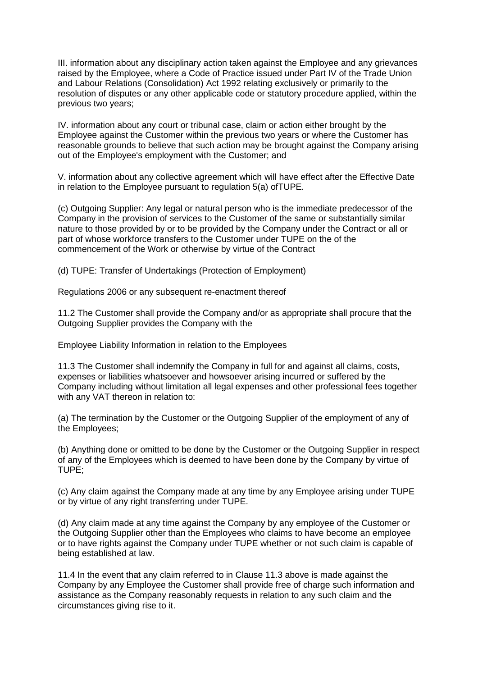III. information about any disciplinary action taken against the Employee and any grievances raised by the Employee, where a Code of Practice issued under Part IV of the Trade Union and Labour Relations (Consolidation) Act 1992 relating exclusively or primarily to the resolution of disputes or any other applicable code or statutory procedure applied, within the previous two years;

IV. information about any court or tribunal case, claim or action either brought by the Employee against the Customer within the previous two years or where the Customer has reasonable grounds to believe that such action may be brought against the Company arising out of the Employee's employment with the Customer; and

V. information about any collective agreement which will have effect after the Effective Date in relation to the Employee pursuant to regulation 5(a) ofTUPE.

(c) Outgoing Supplier: Any legal or natural person who is the immediate predecessor of the Company in the provision of services to the Customer of the same or substantially similar nature to those provided by or to be provided by the Company under the Contract or all or part of whose workforce transfers to the Customer under TUPE on the of the commencement of the Work or otherwise by virtue of the Contract

(d) TUPE: Transfer of Undertakings (Protection of Employment)

Regulations 2006 or any subsequent re-enactment thereof

11.2 The Customer shall provide the Company and/or as appropriate shall procure that the Outgoing Supplier provides the Company with the

Employee Liability Information in relation to the Employees

11.3 The Customer shall indemnify the Company in full for and against all claims, costs, expenses or liabilities whatsoever and howsoever arising incurred or suffered by the Company including without limitation all legal expenses and other professional fees together with any VAT thereon in relation to:

(a) The termination by the Customer or the Outgoing Supplier of the employment of any of the Employees;

(b) Anything done or omitted to be done by the Customer or the Outgoing Supplier in respect of any of the Employees which is deemed to have been done by the Company by virtue of TUPE;

(c) Any claim against the Company made at any time by any Employee arising under TUPE or by virtue of any right transferring under TUPE.

(d) Any claim made at any time against the Company by any employee of the Customer or the Outgoing Supplier other than the Employees who claims to have become an employee or to have rights against the Company under TUPE whether or not such claim is capable of being established at law.

11.4 In the event that any claim referred to in Clause 11.3 above is made against the Company by any Employee the Customer shall provide free of charge such information and assistance as the Company reasonably requests in relation to any such claim and the circumstances giving rise to it.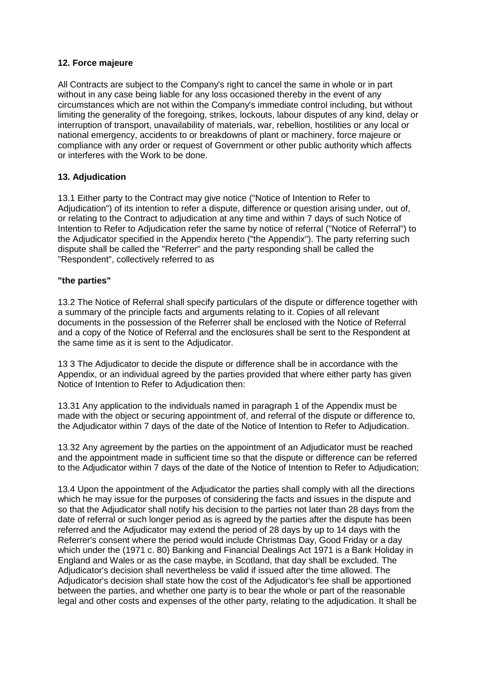### **12. Force majeure**

All Contracts are subject to the Company's right to cancel the same in whole or in part without in any case being liable for any loss occasioned thereby in the event of any circumstances which are not within the Company's immediate control including, but without limiting the generality of the foregoing, strikes, lockouts, labour disputes of any kind, delay or interruption of transport, unavailability of materials, war, rebellion, hostilities or any local or national emergency, accidents to or breakdowns of plant or machinery, force majeure or compliance with any order or request of Government or other public authority which affects or interferes with the Work to be done.

## **13. Adjudication**

13.1 Either party to the Contract may give notice ("Notice of Intention to Refer to Adjudication") of its intention to refer a dispute, difference or question arising under, out of, or relating to the Contract to adjudication at any time and within 7 days of such Notice of Intention to Refer to Adjudication refer the same by notice of referral ("Notice of Referral") to the Adjudicator specified in the Appendix hereto ("the Appendix"). The party referring such dispute shall be called the "Referrer" and the party responding shall be called the "Respondent", collectively referred to as

## **"the parties"**

13.2 The Notice of Referral shall specify particulars of the dispute or difference together with a summary of the principle facts and arguments relating to it. Copies of all relevant documents in the possession of the Referrer shall be enclosed with the Notice of Referral and a copy of the Notice of Referral and the enclosures shall be sent to the Respondent at the same time as it is sent to the Adjudicator.

13 3 The Adjudicator to decide the dispute or difference shall be in accordance with the Appendix, or an individual agreed by the parties provided that where either party has given Notice of Intention to Refer to Adjudication then:

13.31 Any application to the individuals named in paragraph 1 of the Appendix must be made with the object or securing appointment of, and referral of the dispute or difference to, the Adjudicator within 7 days of the date of the Notice of Intention to Refer to Adjudication.

13.32 Any agreement by the parties on the appointment of an Adjudicator must be reached and the appointment made in sufficient time so that the dispute or difference can be referred to the Adjudicator within 7 days of the date of the Notice of Intention to Refer to Adjudication;

13.4 Upon the appointment of the Adjudicator the parties shall comply with all the directions which he may issue for the purposes of considering the facts and issues in the dispute and so that the Adjudicator shall notify his decision to the parties not later than 28 days from the date of referral or such longer period as is agreed by the parties after the dispute has been referred and the Adjudicator may extend the period of 28 days by up to 14 days with the Referrer's consent where the period would include Christmas Day, Good Friday or a day which under the (1971 c. 80) Banking and Financial Dealings Act 1971 is a Bank Holiday in England and Wales or as the case maybe, in Scotland, that day shall be excluded. The Adjudicator's decision shall nevertheless be valid if issued after the time allowed. The Adjudicator's decision shall state how the cost of the Adjudicator's fee shall be apportioned between the parties, and whether one party is to bear the whole or part of the reasonable legal and other costs and expenses of the other party, relating to the adjudication. It shall be